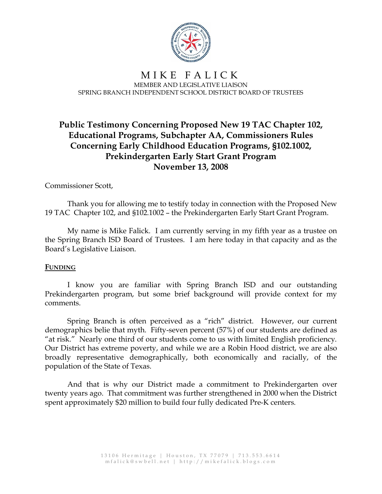

# **Public Testimony Concerning Proposed New 19 TAC Chapter 102, Educational Programs, Subchapter AA, Commissioners Rules Concerning Early Childhood Education Programs, §102.1002, Prekindergarten Early Start Grant Program November 13, 2008**

# Commissioner Scott,

Thank you for allowing me to testify today in connection with the Proposed New 19 TAC Chapter 102, and §102.1002 – the Prekindergarten Early Start Grant Program.

My name is Mike Falick. I am currently serving in my fifth year as a trustee on the Spring Branch ISD Board of Trustees. I am here today in that capacity and as the Board's Legislative Liaison.

#### **FUNDING**

I know you are familiar with Spring Branch ISD and our outstanding Prekindergarten program, but some brief background will provide context for my comments.

Spring Branch is often perceived as a "rich" district. However, our current demographics belie that myth. Fifty-seven percent (57%) of our students are defined as "at risk." Nearly one third of our students come to us with limited English proficiency. Our District has extreme poverty, and while we are a Robin Hood district, we are also broadly representative demographically, both economically and racially, of the population of the State of Texas.

And that is why our District made a commitment to Prekindergarten over twenty years ago. That commitment was further strengthened in 2000 when the District spent approximately \$20 million to build four fully dedicated Pre-K centers.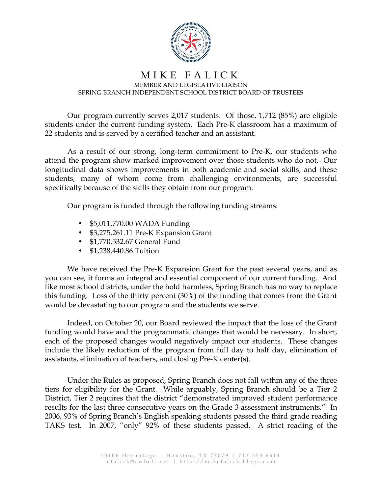

Our program currently serves 2,017 students. Of those, 1,712 (85%) are eligible students under the current funding system. Each Pre-K classroom has a maximum of 22 students and is served by a certified teacher and an assistant.

As a result of our strong, long-term commitment to Pre-K, our students who attend the program show marked improvement over those students who do not. Our longitudinal data shows improvements in both academic and social skills, and these students, many of whom come from challenging environments, are successful specifically because of the skills they obtain from our program.

Our program is funded through the following funding streams:

- \$5,011,770.00 WADA Funding
- \$3,275,261.11 Pre-K Expansion Grant
- \$1,770,532.67 General Fund
- \$1,238,440.86 Tuition

We have received the Pre-K Expansion Grant for the past several years, and as you can see, it forms an integral and essential component of our current funding. And like most school districts, under the hold harmless, Spring Branch has no way to replace this funding. Loss of the thirty percent (30%) of the funding that comes from the Grant would be devastating to our program and the students we serve.

Indeed, on October 20, our Board reviewed the impact that the loss of the Grant funding would have and the programmatic changes that would be necessary. In short, each of the proposed changes would negatively impact our students. These changes include the likely reduction of the program from full day to half day, elimination of assistants, elimination of teachers, and closing Pre-K center(s).

Under the Rules as proposed, Spring Branch does not fall within any of the three tiers for eligibility for the Grant. While arguably, Spring Branch should be a Tier 2 District, Tier 2 requires that the district "demonstrated improved student performance results for the last three consecutive years on the Grade 3 assessment instruments." In 2006, 93% of Spring Branch's English speaking students passed the third grade reading TAKS test. In 2007, "only" 92% of these students passed. A strict reading of the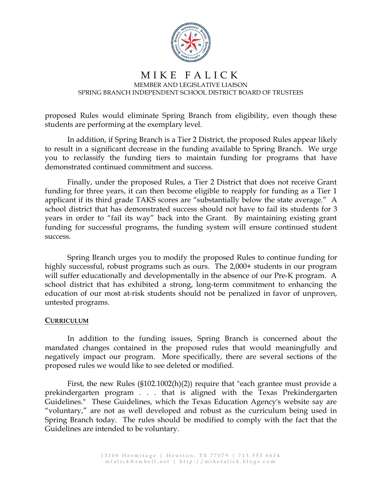

proposed Rules would eliminate Spring Branch from eligibility, even though these students are performing at the exemplary level.

In addition, if Spring Branch is a Tier 2 District, the proposed Rules appear likely to result in a significant decrease in the funding available to Spring Branch. We urge you to reclassify the funding tiers to maintain funding for programs that have demonstrated continued commitment and success.

Finally, under the proposed Rules, a Tier 2 District that does not receive Grant funding for three years, it can then become eligible to reapply for funding as a Tier 1 applicant if its third grade TAKS scores are "substantially below the state average." A school district that has demonstrated success should not have to fail its students for 3 years in order to "fail its way" back into the Grant. By maintaining existing grant funding for successful programs, the funding system will ensure continued student success.

Spring Branch urges you to modify the proposed Rules to continue funding for highly successful, robust programs such as ours. The 2,000+ students in our program will suffer educationally and developmentally in the absence of our Pre-K program. A school district that has exhibited a strong, long-term commitment to enhancing the education of our most at-risk students should not be penalized in favor of unproven, untested programs.

#### **CURRICULUM**

In addition to the funding issues, Spring Branch is concerned about the mandated changes contained in the proposed rules that would meaningfully and negatively impact our program. More specifically, there are several sections of the proposed rules we would like to see deleted or modified.

First, the new Rules (§102.1002(h)(2)) require that "each grantee must provide a prekindergarten program . . . that is aligned with the Texas Prekindergarten Guidelines." These Guidelines, which the Texas Education Agency's website say are "voluntary," are not as well developed and robust as the curriculum being used in Spring Branch today. The rules should be modified to comply with the fact that the Guidelines are intended to be voluntary.